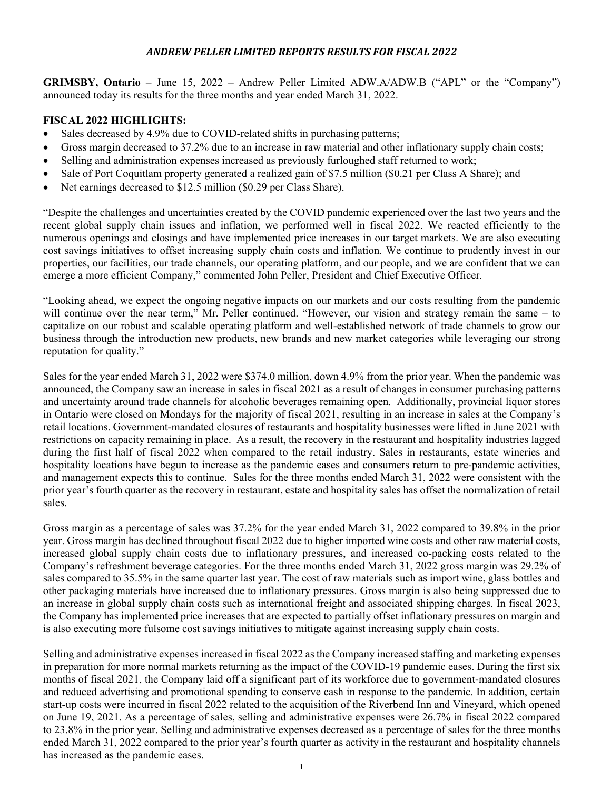# *ANDREW PELLER LIMITED REPORTS RESULTS FOR FISCAL 2022*

**GRIMSBY, Ontario** – June 15, 2022 – Andrew Peller Limited ADW.A/ADW.B ("APL" or the "Company") announced today its results for the three months and year ended March 31, 2022.

## **FISCAL 2022 HIGHLIGHTS:**

- Sales decreased by 4.9% due to COVID-related shifts in purchasing patterns;
- Gross margin decreased to 37.2% due to an increase in raw material and other inflationary supply chain costs;
- Selling and administration expenses increased as previously furloughed staff returned to work;
- Sale of Port Coquitlam property generated a realized gain of \$7.5 million (\$0.21 per Class A Share); and
- Net earnings decreased to \$12.5 million (\$0.29 per Class Share).

"Despite the challenges and uncertainties created by the COVID pandemic experienced over the last two years and the recent global supply chain issues and inflation, we performed well in fiscal 2022. We reacted efficiently to the numerous openings and closings and have implemented price increases in our target markets. We are also executing cost savings initiatives to offset increasing supply chain costs and inflation. We continue to prudently invest in our properties, our facilities, our trade channels, our operating platform, and our people, and we are confident that we can emerge a more efficient Company," commented John Peller, President and Chief Executive Officer.

"Looking ahead, we expect the ongoing negative impacts on our markets and our costs resulting from the pandemic will continue over the near term," Mr. Peller continued. "However, our vision and strategy remain the same – to capitalize on our robust and scalable operating platform and well-established network of trade channels to grow our business through the introduction new products, new brands and new market categories while leveraging our strong reputation for quality."

Sales for the year ended March 31, 2022 were \$374.0 million, down 4.9% from the prior year. When the pandemic was announced, the Company saw an increase in sales in fiscal 2021 as a result of changes in consumer purchasing patterns and uncertainty around trade channels for alcoholic beverages remaining open. Additionally, provincial liquor stores in Ontario were closed on Mondays for the majority of fiscal 2021, resulting in an increase in sales at the Company's retail locations. Government-mandated closures of restaurants and hospitality businesses were lifted in June 2021 with restrictions on capacity remaining in place. As a result, the recovery in the restaurant and hospitality industries lagged during the first half of fiscal 2022 when compared to the retail industry. Sales in restaurants, estate wineries and hospitality locations have begun to increase as the pandemic eases and consumers return to pre-pandemic activities, and management expects this to continue. Sales for the three months ended March 31, 2022 were consistent with the prior year's fourth quarter as the recovery in restaurant, estate and hospitality sales has offset the normalization of retail sales.

Gross margin as a percentage of sales was 37.2% for the year ended March 31, 2022 compared to 39.8% in the prior year. Gross margin has declined throughout fiscal 2022 due to higher imported wine costs and other raw material costs, increased global supply chain costs due to inflationary pressures, and increased co-packing costs related to the Company's refreshment beverage categories. For the three months ended March 31, 2022 gross margin was 29.2% of sales compared to 35.5% in the same quarter last year. The cost of raw materials such as import wine, glass bottles and other packaging materials have increased due to inflationary pressures. Gross margin is also being suppressed due to an increase in global supply chain costs such as international freight and associated shipping charges. In fiscal 2023, the Company has implemented price increases that are expected to partially offset inflationary pressures on margin and is also executing more fulsome cost savings initiatives to mitigate against increasing supply chain costs.

Selling and administrative expenses increased in fiscal 2022 as the Company increased staffing and marketing expenses in preparation for more normal markets returning as the impact of the COVID-19 pandemic eases. During the first six months of fiscal 2021, the Company laid off a significant part of its workforce due to government-mandated closures and reduced advertising and promotional spending to conserve cash in response to the pandemic. In addition, certain start-up costs were incurred in fiscal 2022 related to the acquisition of the Riverbend Inn and Vineyard, which opened on June 19, 2021. As a percentage of sales, selling and administrative expenses were 26.7% in fiscal 2022 compared to 23.8% in the prior year. Selling and administrative expenses decreased as a percentage of sales for the three months ended March 31, 2022 compared to the prior year's fourth quarter as activity in the restaurant and hospitality channels has increased as the pandemic eases.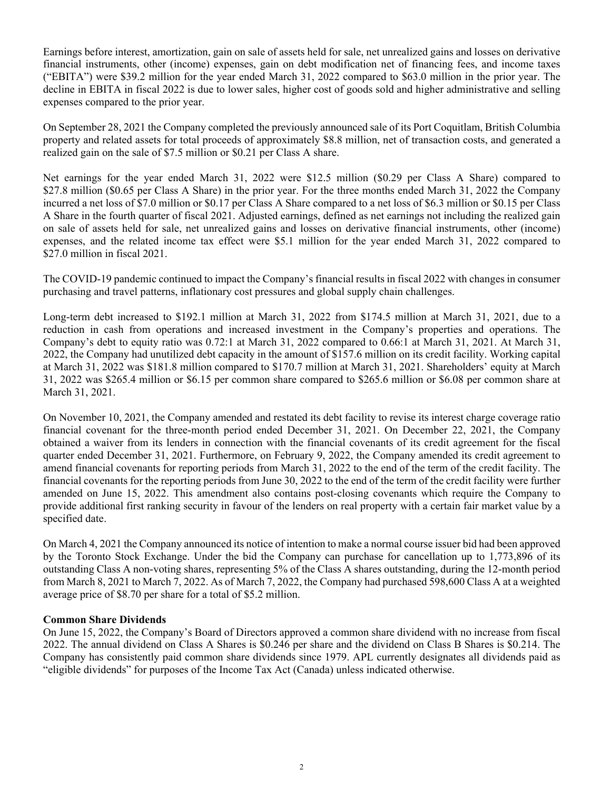Earnings before interest, amortization, gain on sale of assets held for sale, net unrealized gains and losses on derivative financial instruments, other (income) expenses, gain on debt modification net of financing fees, and income taxes ("EBITA") were \$39.2 million for the year ended March 31, 2022 compared to \$63.0 million in the prior year. The decline in EBITA in fiscal 2022 is due to lower sales, higher cost of goods sold and higher administrative and selling expenses compared to the prior year.

On September 28, 2021 the Company completed the previously announced sale of its Port Coquitlam, British Columbia property and related assets for total proceeds of approximately \$8.8 million, net of transaction costs, and generated a realized gain on the sale of \$7.5 million or \$0.21 per Class A share.

Net earnings for the year ended March 31, 2022 were \$12.5 million (\$0.29 per Class A Share) compared to \$27.8 million (\$0.65 per Class A Share) in the prior year. For the three months ended March 31, 2022 the Company incurred a net loss of \$7.0 million or \$0.17 per Class A Share compared to a net loss of \$6.3 million or \$0.15 per Class A Share in the fourth quarter of fiscal 2021. Adjusted earnings, defined as net earnings not including the realized gain on sale of assets held for sale, net unrealized gains and losses on derivative financial instruments, other (income) expenses, and the related income tax effect were \$5.1 million for the year ended March 31, 2022 compared to \$27.0 million in fiscal 2021.

The COVID-19 pandemic continued to impact the Company's financial results in fiscal 2022 with changes in consumer purchasing and travel patterns, inflationary cost pressures and global supply chain challenges.

Long-term debt increased to \$192.1 million at March 31, 2022 from \$174.5 million at March 31, 2021, due to a reduction in cash from operations and increased investment in the Company's properties and operations. The Company's debt to equity ratio was 0.72:1 at March 31, 2022 compared to 0.66:1 at March 31, 2021. At March 31, 2022, the Company had unutilized debt capacity in the amount of \$157.6 million on its credit facility. Working capital at March 31, 2022 was \$181.8 million compared to \$170.7 million at March 31, 2021. Shareholders' equity at March 31, 2022 was \$265.4 million or \$6.15 per common share compared to \$265.6 million or \$6.08 per common share at March 31, 2021.

On November 10, 2021, the Company amended and restated its debt facility to revise its interest charge coverage ratio financial covenant for the three-month period ended December 31, 2021. On December 22, 2021, the Company obtained a waiver from its lenders in connection with the financial covenants of its credit agreement for the fiscal quarter ended December 31, 2021. Furthermore, on February 9, 2022, the Company amended its credit agreement to amend financial covenants for reporting periods from March 31, 2022 to the end of the term of the credit facility. The financial covenants for the reporting periods from June 30, 2022 to the end of the term of the credit facility were further amended on June 15, 2022. This amendment also contains post-closing covenants which require the Company to provide additional first ranking security in favour of the lenders on real property with a certain fair market value by a specified date.

On March 4, 2021 the Company announced its notice of intention to make a normal course issuer bid had been approved by the Toronto Stock Exchange. Under the bid the Company can purchase for cancellation up to 1,773,896 of its outstanding Class A non-voting shares, representing 5% of the Class A shares outstanding, during the 12-month period from March 8, 2021 to March 7, 2022. As of March 7, 2022, the Company had purchased 598,600 Class A at a weighted average price of \$8.70 per share for a total of \$5.2 million.

### **Common Share Dividends**

On June 15, 2022, the Company's Board of Directors approved a common share dividend with no increase from fiscal 2022. The annual dividend on Class A Shares is \$0.246 per share and the dividend on Class B Shares is \$0.214. The Company has consistently paid common share dividends since 1979. APL currently designates all dividends paid as "eligible dividends" for purposes of the Income Tax Act (Canada) unless indicated otherwise.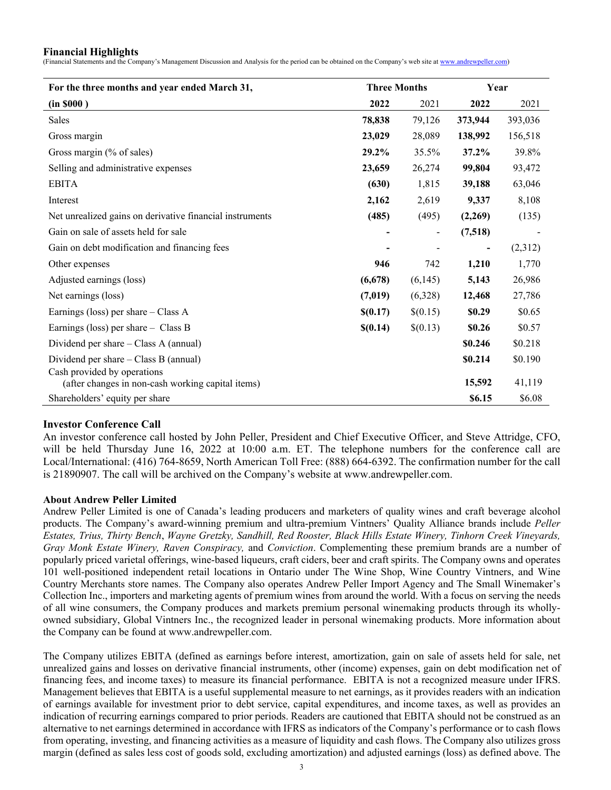#### **Financial Highlights**

(Financial Statements and the Company's Management Discussion and Analysis for the period can be obtained on the Company's web site at www.andrewpeller.com)

| For the three months and year ended March 31,                                    | <b>Three Months</b> |                | Year    |         |
|----------------------------------------------------------------------------------|---------------------|----------------|---------|---------|
| (in 8000)                                                                        | 2022                | 2021           | 2022    | 2021    |
| Sales                                                                            | 78,838              | 79,126         | 373,944 | 393,036 |
| Gross margin                                                                     | 23,029              | 28,089         | 138,992 | 156,518 |
| Gross margin (% of sales)                                                        | 29.2%               | 35.5%          | 37.2%   | 39.8%   |
| Selling and administrative expenses                                              | 23,659              | 26,274         | 99,804  | 93,472  |
| <b>EBITA</b>                                                                     | (630)               | 1,815          | 39,188  | 63,046  |
| Interest                                                                         | 2,162               | 2,619          | 9,337   | 8,108   |
| Net unrealized gains on derivative financial instruments                         | (485)               | (495)          | (2,269) | (135)   |
| Gain on sale of assets held for sale                                             |                     | $\blacksquare$ | (7,518) |         |
| Gain on debt modification and financing fees                                     |                     |                |         | (2,312) |
| Other expenses                                                                   | 946                 | 742            | 1,210   | 1,770   |
| Adjusted earnings (loss)                                                         | (6,678)             | (6,145)        | 5,143   | 26,986  |
| Net earnings (loss)                                                              | (7,019)             | (6,328)        | 12,468  | 27,786  |
| Earnings (loss) per share $-$ Class A                                            | \$(0.17)            | \$(0.15)       | \$0.29  | \$0.65  |
| Earnings (loss) per share $-$ Class B                                            | \$(0.14)            | \$(0.13)       | \$0.26  | \$0.57  |
| Dividend per share $-$ Class A (annual)                                          |                     |                | \$0.246 | \$0.218 |
| Dividend per share – Class B (annual)                                            |                     |                | \$0.214 | \$0.190 |
| Cash provided by operations<br>(after changes in non-cash working capital items) |                     |                | 15,592  | 41,119  |
| Shareholders' equity per share                                                   |                     |                | \$6.15  | \$6.08  |

### **Investor Conference Call**

An investor conference call hosted by John Peller, President and Chief Executive Officer, and Steve Attridge, CFO, will be held Thursday June 16, 2022 at 10:00 a.m. ET. The telephone numbers for the conference call are Local/International: (416) 764-8659, North American Toll Free: (888) 664-6392. The confirmation number for the call is 21890907. The call will be archived on the Company's website at www.andrewpeller.com.

### **About Andrew Peller Limited**

Andrew Peller Limited is one of Canada's leading producers and marketers of quality wines and craft beverage alcohol products. The Company's award-winning premium and ultra-premium Vintners' Quality Alliance brands include *Peller Estates, Trius, Thirty Bench*, *Wayne Gretzky, Sandhill, Red Rooster, Black Hills Estate Winery, Tinhorn Creek Vineyards, Gray Monk Estate Winery, Raven Conspiracy,* and *Conviction*. Complementing these premium brands are a number of popularly priced varietal offerings, wine-based liqueurs, craft ciders, beer and craft spirits. The Company owns and operates 101 well-positioned independent retail locations in Ontario under The Wine Shop, Wine Country Vintners, and Wine Country Merchants store names. The Company also operates Andrew Peller Import Agency and The Small Winemaker's Collection Inc., importers and marketing agents of premium wines from around the world. With a focus on serving the needs of all wine consumers, the Company produces and markets premium personal winemaking products through its whollyowned subsidiary, Global Vintners Inc., the recognized leader in personal winemaking products. More information about the Company can be found at www.andrewpeller.com.

The Company utilizes EBITA (defined as earnings before interest, amortization, gain on sale of assets held for sale, net unrealized gains and losses on derivative financial instruments, other (income) expenses, gain on debt modification net of financing fees, and income taxes) to measure its financial performance. EBITA is not a recognized measure under IFRS. Management believes that EBITA is a useful supplemental measure to net earnings, as it provides readers with an indication of earnings available for investment prior to debt service, capital expenditures, and income taxes, as well as provides an indication of recurring earnings compared to prior periods. Readers are cautioned that EBITA should not be construed as an alternative to net earnings determined in accordance with IFRS as indicators of the Company's performance or to cash flows from operating, investing, and financing activities as a measure of liquidity and cash flows. The Company also utilizes gross margin (defined as sales less cost of goods sold, excluding amortization) and adjusted earnings (loss) as defined above. The